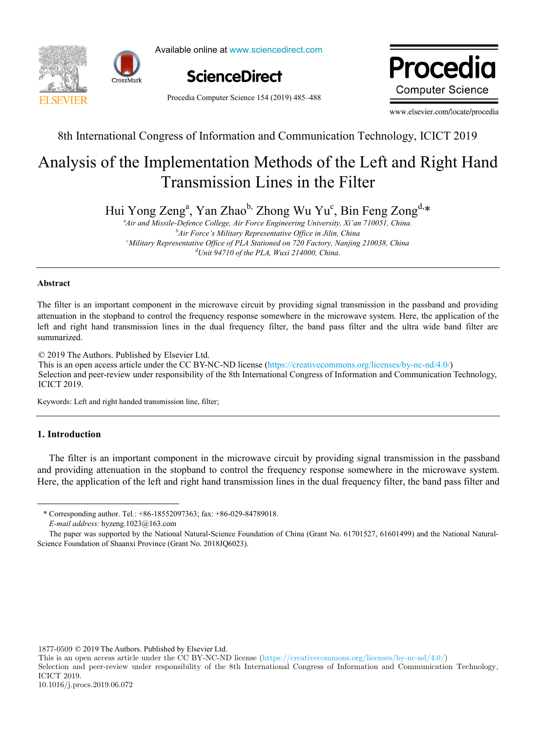



Available online at www.sciencedirect.com



Procedia Computer Science 154 (2019) 485–488

Drocadio ww.elsevier.com **Computer Science** 

8th International Congress of Information and Communication Technology (ICICT-2019)

8th International Congress of Information and Communication Technology, ICICT 2019

# Iysis of the Implementation Methods of the Left and Right  $H$ Transmission Lines in the Filter  $A = 1$  is of the Implementation Methods of the Implementation  $A = 1$ Analysis of the Implementation Methods of the Left and Right Hand

an Zhao"<sup>,</sup> Zhong Wu Yu Hui Yong Zeng<sup>a</sup>, Yan Zhao<sup>b,</sup> Zhong Wu Yu<sup>c</sup>, Bin Feng Zong<sup>d,</sup>\*

<sup>b</sup>Air Force's Military Representative Office in Jilin, China <sup>a</sup> *Air and Missile-Defence College, Air Force Engineering University, Xi'an 710051, China.* <sup>c</sup>Military Representative Office of PLA Stationed on 720 Factory, Nanjing 210038, China *d Unit 94710 of the PLA, Wuxi 214000, China.*

#### **Abstract**  $T$ his article combines the most fierce concept  $T$  in modern era ,  $T$  is discussed perspective of  $T$ **Abstract Abstract**

the protection mode, tries to explore the key points for the new model to construct "Internet + intangible cultural heritage The filter is an important component in the microwave circuit by providing signal transmission in the passband and providing attenuation in the stopband to control the frequency response somewhere in the microwave system. Here, the application of the left and right hand transmission lines in the dual frequency filter, the band pass filter and the ultra wide band filter are summarized.

© 2019 The Authors. Published by Elsevier Ltd.

C 2019 The Additions. Fubrished by Eisevier Etd.<br>This is an open access article under the CC BY-NC-ND license (https://creativecommons.org/licenses/by-nc-nd/4.0/) Selection and peer-review under responsibility of the 8th International Congress of Information and Communication Technology, ICICT 2019. Telectron and peer fevrew.  $\epsilon$  Selection and peer-review under responsibility of the 8th International Congress of Information and Communication  $P = P(\text{P}|\text{P})$  of organizing committee of the 8th International Congress of International Communication and Communication and Communication and Communication and Communication and Communication and Communication and Comm

Keywords: Left and right handed transmission line, filter; Keywords: Left and right handed transmission line, filter;

# **1. Introduction**

1

 $\mathbb{R}^2$ The filter is an important component in the microwave circuit by providing signal transmission in the passband and providing attenuation in the stopband to control the frequency response somewhere in the microwave system. Here, the application of the left and right hand transmission lines in the dual frequency filter, the band pass filter and

Fund Project: Shandong University Humanities and Social Sciences Research Project "Investigation on the Visualization of Qilu Classic Folk

1877-0509 © 2019 The Authors. Published by Elsevier Ltd.

Selection and peer-review under responsibility of the 8th International Congress of Information and Communication Technology, ICICT 2019.

<sup>\*</sup> Corresponding author. Tel.: +86-18552097363; fax: +86-029-84789018.

E-mail address: hyzeng.1023@163.com

The paper was supported by the National Natural-Science Foundation of China (Grant No. 61701527, 61601499) and the National Natural-Science Foundation of Shaanxi Province (Grant No. 2018JQ6023).  $15954549212, 28017550$ 

This is an open access article under the CC BY-NC-ND license (https://creativecommons.org/licenses/by-nc-nd/4.0/)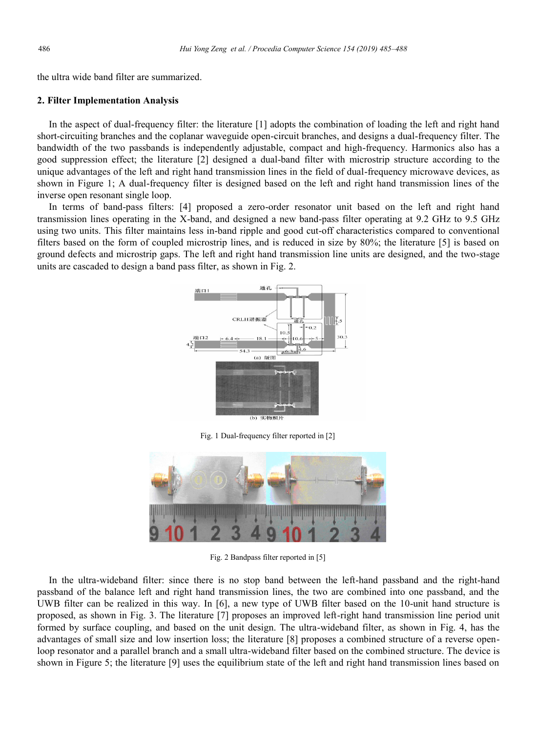the ultra wide band filter are summarized.

### **2. Filter Implementation Analysis**

In the aspect of dual-frequency filter: the literature [1] adopts the combination of loading the left and right hand short-circuiting branches and the coplanar waveguide open-circuit branches, and designs a dual-frequency filter. The bandwidth of the two passbands is independently adjustable, compact and high-frequency. Harmonics also has a good suppression effect; the literature [2] designed a dual-band filter with microstrip structure according to the unique advantages of the left and right hand transmission lines in the field of dual-frequency microwave devices, as shown in Figure 1; A dual-frequency filter is designed based on the left and right hand transmission lines of the inverse open resonant single loop.

In terms of band-pass filters: [4] proposed a zero-order resonator unit based on the left and right hand transmission lines operating in the X-band, and designed a new band-pass filter operating at 9.2 GHz to 9.5 GHz using two units. This filter maintains less in-band ripple and good cut-off characteristics compared to conventional filters based on the form of coupled microstrip lines, and is reduced in size by 80%; the literature [5] is based on ground defects and microstrip gaps. The left and right hand transmission line units are designed, and the two-stage units are cascaded to design a band pass filter, as shown in Fig. 2.



Fig. 1 Dual-frequency filter reported in [2]



Fig. 2 Bandpass filter reported in [5]

In the ultra-wideband filter: since there is no stop band between the left-hand passband and the right-hand passband of the balance left and right hand transmission lines, the two are combined into one passband, and the UWB filter can be realized in this way. In [6], a new type of UWB filter based on the 10-unit hand structure is proposed, as shown in Fig. 3. The literature [7] proposes an improved left-right hand transmission line period unit formed by surface coupling, and based on the unit design. The ultra-wideband filter, as shown in Fig. 4, has the advantages of small size and low insertion loss; the literature [8] proposes a combined structure of a reverse openloop resonator and a parallel branch and a small ultra-wideband filter based on the combined structure. The device is shown in Figure 5; the literature [9] uses the equilibrium state of the left and right hand transmission lines based on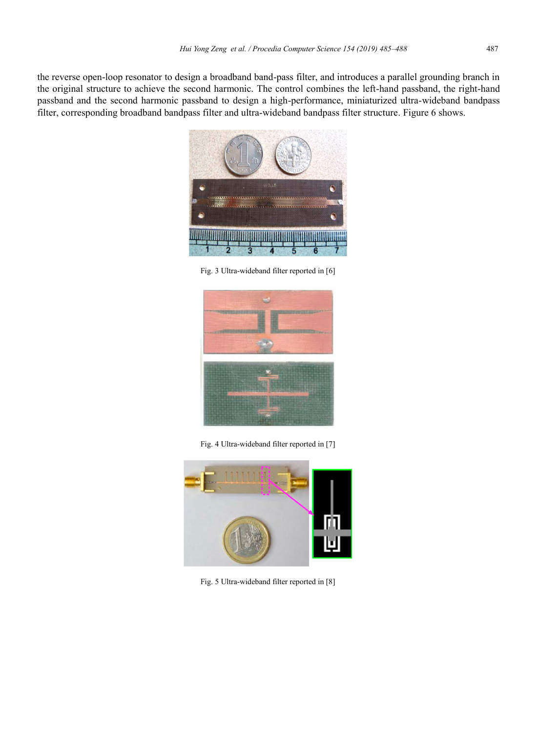the reverse open-loop resonator to design a broadband band-pass filter, and introduces a parallel grounding branch in the original structure to achieve the second harmonic. The control combines the left-hand passband, the right-hand passband and the second harmonic passband to design a high-performance, miniaturized ultra-wideband bandpass filter, corresponding broadband bandpass filter and ultra-wideband bandpass filter structure. Figure 6 shows.



Fig. 3 Ultra-wideband filter reported in [6]



Fig. 4 Ultra-wideband filter reported in [7]



Fig. 5 Ultra-wideband filter reported in [8]